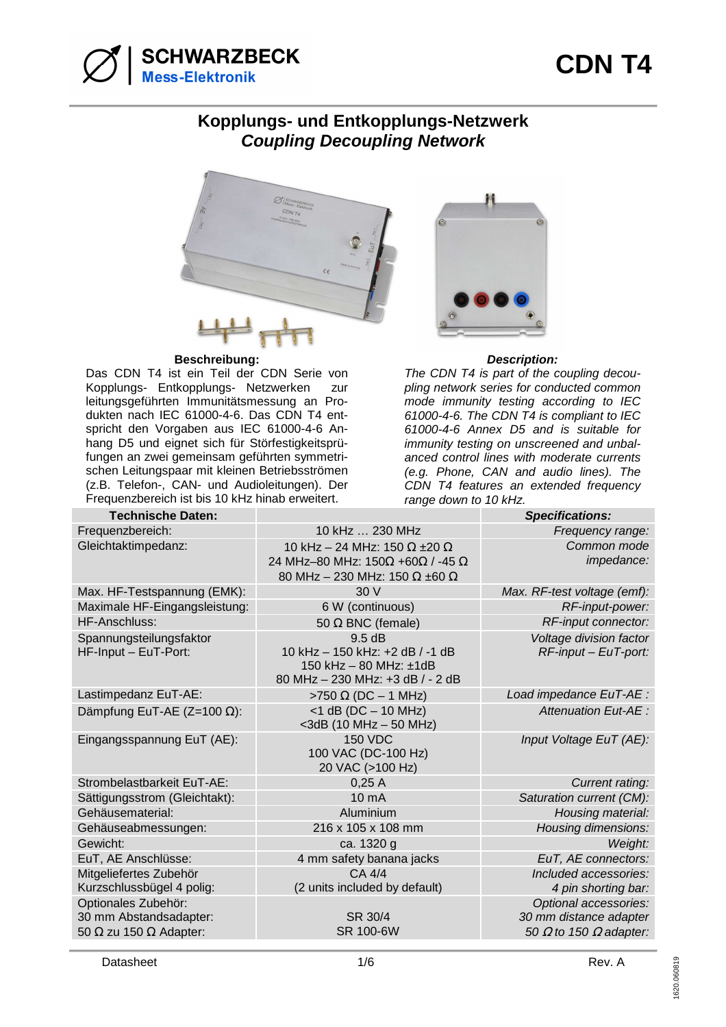

#### **Kopplungs- und Entkopplungs-Netzwerk Coupling Decoupling Network**



#### **Beschreibung: Description:**

Das CDN T4 ist ein Teil der CDN Serie von Kopplungs- Entkopplungs- Netzwerken zur leitungsgeführten Immunitätsmessung an Produkten nach IEC 61000-4-6. Das CDN T4 entspricht den Vorgaben aus IEC 61000-4-6 Anhang D5 und eignet sich für Störfestigkeitsprüfungen an zwei gemeinsam geführten symmetrischen Leitungspaar mit kleinen Betriebsströmen (z.B. Telefon-, CAN- und Audioleitungen). Der Frequenzbereich ist bis 10 kHz hinab erweitert.



The CDN T4 is part of the coupling decoupling network series for conducted common mode immunity testing according to IEC 61000-4-6. The CDN T4 is compliant to IEC 61000-4-6 Annex D5 and is suitable for immunity testing on unscreened and unbalanced control lines with moderate currents (e.g. Phone, CAN and audio lines). The CDN T4 features an extended frequency range down to 10 kHz.

| <b>Technische Daten:</b>             |                                             | <b>Specifications:</b>               |
|--------------------------------------|---------------------------------------------|--------------------------------------|
| Frequenzbereich:                     | 10 kHz  230 MHz                             | Frequency range:                     |
| Gleichtaktimpedanz:                  | 10 kHz - 24 MHz: 150 $\Omega$ ±20 $\Omega$  | Common mode                          |
|                                      | 24 MHz-80 MHz: 150Ω +60Ω / -45 Ω            | impedance:                           |
|                                      | 80 MHz - 230 MHz: 150 $\Omega$ ±60 $\Omega$ |                                      |
| Max. HF-Testspannung (EMK):          | 30V                                         | Max. RF-test voltage (emf):          |
| Maximale HF-Eingangsleistung:        | 6 W (continuous)                            | RF-input-power:                      |
| HF-Anschluss:                        | 50 $\Omega$ BNC (female)                    | RF-input connector:                  |
| Spannungsteilungsfaktor              | 9.5dB                                       | Voltage division factor              |
| HF-Input - EuT-Port:                 | 10 kHz - 150 kHz: +2 dB / -1 dB             | $RF$ -input – EuT-port:              |
|                                      | 150 kHz $-$ 80 MHz: $\pm$ 1dB               |                                      |
|                                      | 80 MHz - 230 MHz: +3 dB / - 2 dB            |                                      |
| Lastimpedanz EuT-AE:                 | $>750 \Omega$ (DC - 1 MHz)                  | Load impedance EuT-AE :              |
| Dämpfung EuT-AE (Z=100 $\Omega$ ):   | $<$ 1 dB (DC $-$ 10 MHz)                    | Attenuation Eut-AE :                 |
|                                      | $<$ 3dB (10 MHz $-$ 50 MHz)                 |                                      |
| Eingangsspannung EuT (AE):           | <b>150 VDC</b><br>100 VAC (DC-100 Hz)       | Input Voltage EuT (AE):              |
|                                      | 20 VAC (>100 Hz)                            |                                      |
| Strombelastbarkeit EuT-AE:           | 0,25A                                       | Current rating:                      |
| Sättigungsstrom (Gleichtakt):        | $10 \text{ mA}$                             | Saturation current (CM):             |
| Gehäusematerial:                     | Aluminium                                   | Housing material:                    |
| Gehäuseabmessungen:                  | 216 x 105 x 108 mm                          | Housing dimensions:                  |
| Gewicht:                             | ca. 1320 g                                  | Weight:                              |
| EuT, AE Anschlüsse:                  | 4 mm safety banana jacks                    | EuT, AE connectors:                  |
| Mitgeliefertes Zubehör               | CA 4/4                                      | Included accessories:                |
| Kurzschlussbügel 4 polig:            | (2 units included by default)               | 4 pin shorting bar:                  |
| Optionales Zubehör:                  |                                             | Optional accessories:                |
| 30 mm Abstandsadapter:               | SR 30/4                                     | 30 mm distance adapter               |
| 50 $\Omega$ zu 150 $\Omega$ Adapter: | SR 100-6W                                   | 50 $\Omega$ to 150 $\Omega$ adapter: |
|                                      |                                             |                                      |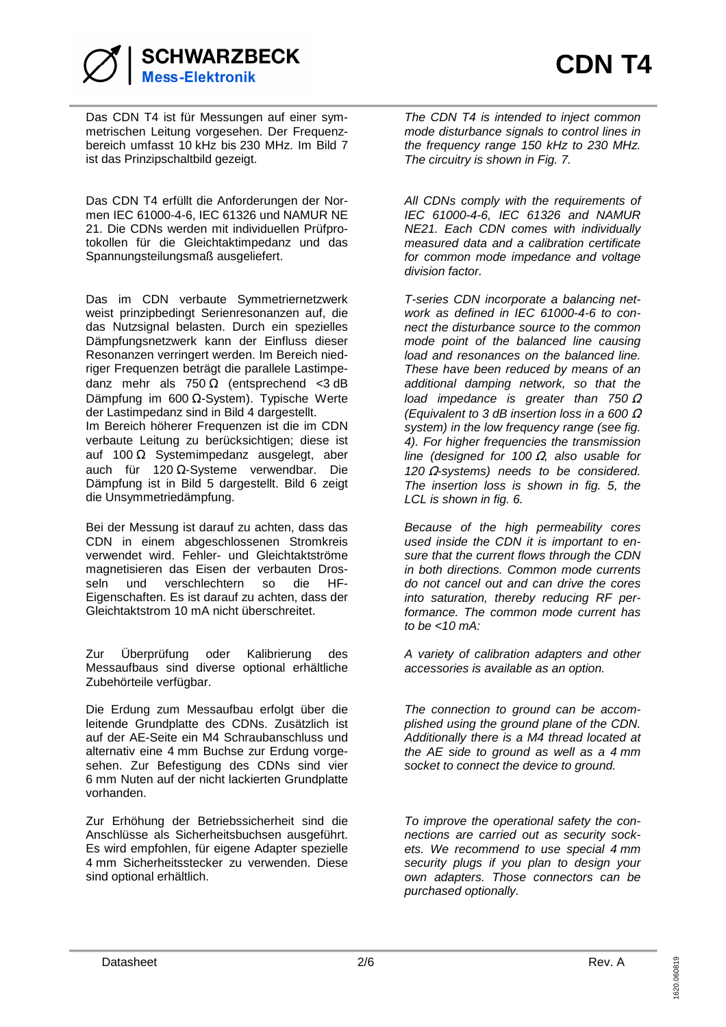

Das CDN T4 ist für Messungen auf einer symmetrischen Leitung vorgesehen. Der Frequenzbereich umfasst 10 kHz bis 230 MHz. Im Bild 7 ist das Prinzipschaltbild gezeigt.

Das CDN T4 erfüllt die Anforderungen der Normen IEC 61000-4-6, IEC 61326 und NAMUR NE 21. Die CDNs werden mit individuellen Prüfprotokollen für die Gleichtaktimpedanz und das Spannungsteilungsmaß ausgeliefert.

Das im CDN verbaute Symmetriernetzwerk weist prinzipbedingt Serienresonanzen auf, die das Nutzsignal belasten. Durch ein spezielles Dämpfungsnetzwerk kann der Einfluss dieser Resonanzen verringert werden. Im Bereich niedriger Frequenzen beträgt die parallele Lastimpedanz mehr als  $750 \Omega$  (entsprechend <3 dB Dämpfung im 600 Ω-System). Typische Werte der Lastimpedanz sind in Bild 4 dargestellt. Im Bereich höherer Frequenzen ist die im CDN verbaute Leitung zu berücksichtigen; diese ist auf 100 Ω Systemimpedanz ausgelegt, aber auch für 120 Ω-Systeme verwendbar. Die Dämpfung ist in Bild 5 dargestellt. Bild 6 zeigt die Unsymmetriedämpfung.

Bei der Messung ist darauf zu achten, dass das CDN in einem abgeschlossenen Stromkreis verwendet wird. Fehler- und Gleichtaktströme magnetisieren das Eisen der verbauten Drosseln und verschlechtern so die HF-Eigenschaften. Es ist darauf zu achten, dass der Gleichtaktstrom 10 mA nicht überschreitet.

Zur Überprüfung oder Kalibrierung des Messaufbaus sind diverse optional erhältliche Zubehörteile verfügbar.

Die Erdung zum Messaufbau erfolgt über die leitende Grundplatte des CDNs. Zusätzlich ist auf der AE-Seite ein M4 Schraubanschluss und alternativ eine 4 mm Buchse zur Erdung vorgesehen. Zur Befestigung des CDNs sind vier 6 mm Nuten auf der nicht lackierten Grundplatte vorhanden.

Zur Erhöhung der Betriebssicherheit sind die Anschlüsse als Sicherheitsbuchsen ausgeführt. Es wird empfohlen, für eigene Adapter spezielle 4 mm Sicherheitsstecker zu verwenden. Diese sind optional erhältlich.

The CDN T4 is intended to inject common mode disturbance signals to control lines in the frequency range 150 kHz to 230 MHz. The circuitry is shown in Fig. 7.

All CDNs comply with the requirements of IEC 61000-4-6, IEC 61326 and NAMUR NE21. Each CDN comes with individually measured data and a calibration certificate for common mode impedance and voltage division factor.

T-series CDN incorporate a balancing network as defined in IEC 61000-4-6 to connect the disturbance source to the common mode point of the balanced line causing load and resonances on the balanced line. These have been reduced by means of an additional damping network, so that the load impedance is greater than  $750 \Omega$ (Equivalent to 3 dB insertion loss in a 600  $\Omega$ system) in the low frequency range (see fig. 4). For higher frequencies the transmission line (designed for 100  $\Omega$ , also usable for  $120 \Omega$ -systems) needs to be considered. The insertion loss is shown in fig. 5, the LCL is shown in fig. 6.

Because of the high permeability cores used inside the CDN it is important to ensure that the current flows through the CDN in both directions. Common mode currents do not cancel out and can drive the cores into saturation, thereby reducing RF performance. The common mode current has to be  $<10$  mA:

A variety of calibration adapters and other accessories is available as an option.

The connection to ground can be accomplished using the ground plane of the CDN. Additionally there is a M4 thread located at the AE side to ground as well as a 4 mm socket to connect the device to ground.

To improve the operational safety the connections are carried out as security sockets. We recommend to use special 4 mm security plugs if you plan to design your own adapters. Those connectors can be purchased optionally.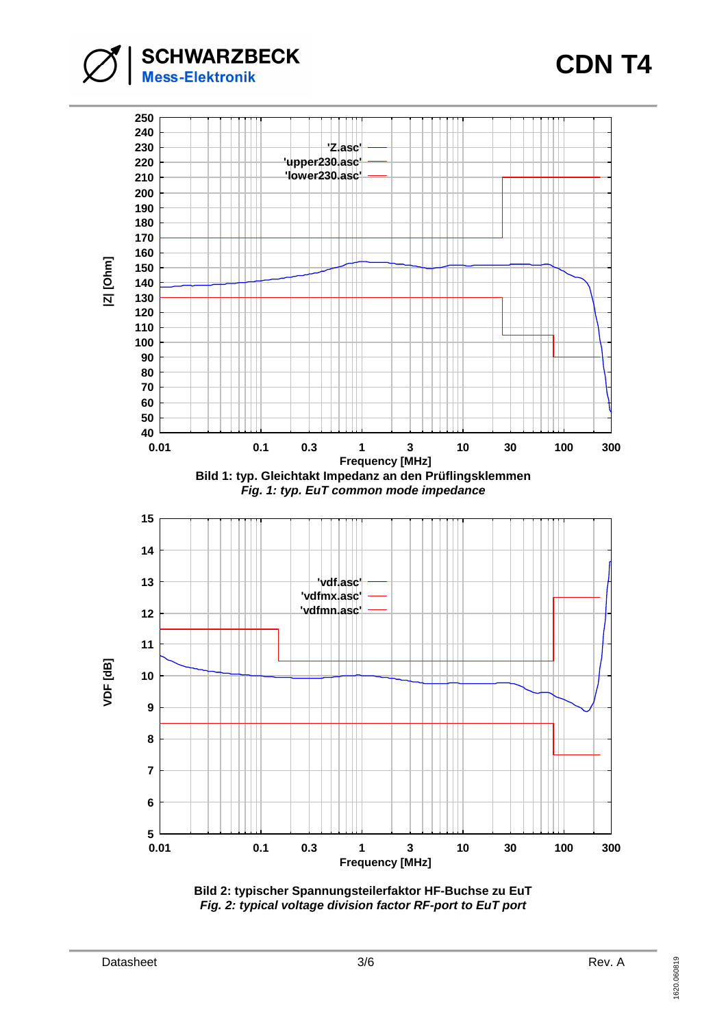**SCHWARZBECK**<br>Mess-Elektronik

# **CDN T4**



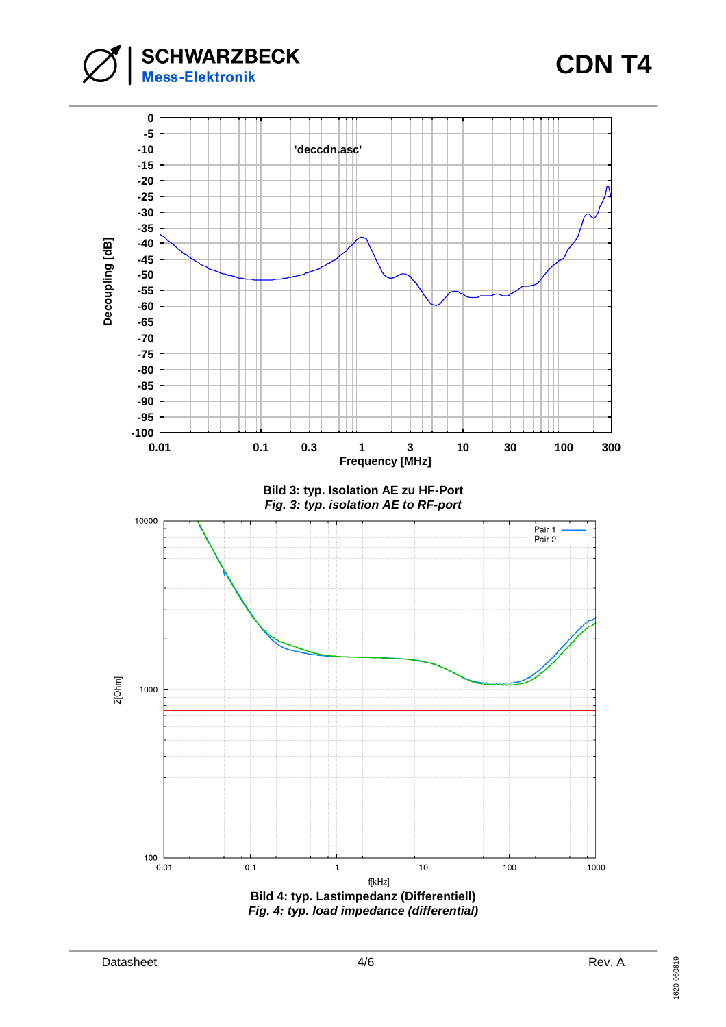**SCHWARZBECK**<br>Mess-Elektronik

## **CDN T4**

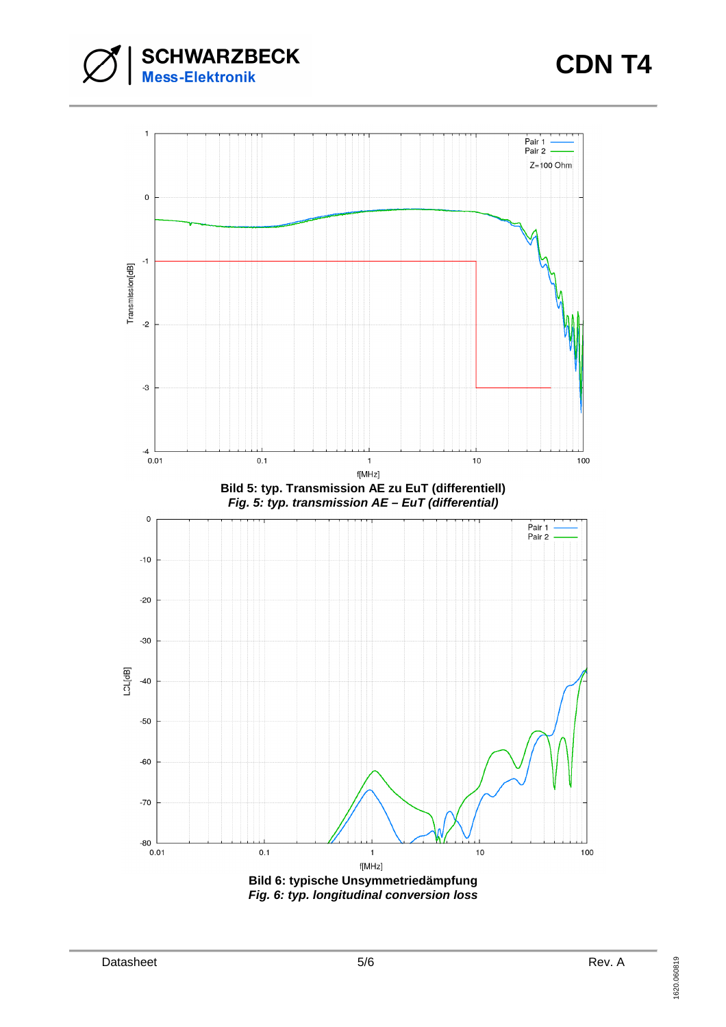

## **CDN T4**